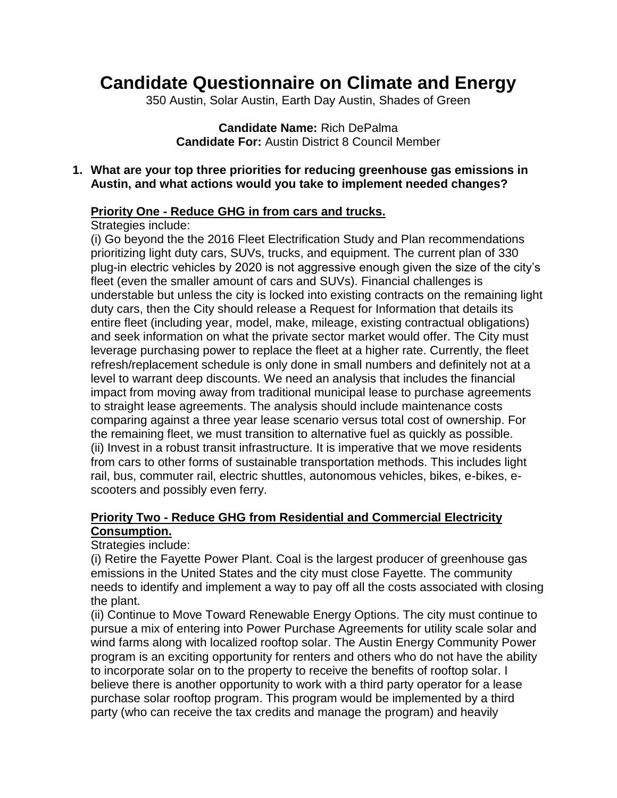# **Candidate Questionnaire on Climate and Energy**

350 Austin, Solar Austin, Earth Day Austin, Shades of Green

**Candidate Name:** Rich DePalma **Candidate For:** Austin District 8 Council Member

**1. What are your top three priorities for reducing greenhouse gas emissions in Austin, and what actions would you take to implement needed changes?** 

### **Priority One - Reduce GHG in from cars and trucks.**

Strategies include:

(i) Go beyond the the 2016 Fleet Electrification Study and Plan recommendations prioritizing light duty cars, SUVs, trucks, and equipment. The current plan of 330 plug-in electric vehicles by 2020 is not aggressive enough given the size of the city's fleet (even the smaller amount of cars and SUVs). Financial challenges is understable but unless the city is locked into existing contracts on the remaining light duty cars, then the City should release a Request for Information that details its entire fleet (including year, model, make, mileage, existing contractual obligations) and seek information on what the private sector market would offer. The City must leverage purchasing power to replace the fleet at a higher rate. Currently, the fleet refresh/replacement schedule is only done in small numbers and definitely not at a level to warrant deep discounts. We need an analysis that includes the financial impact from moving away from traditional municipal lease to purchase agreements to straight lease agreements. The analysis should include maintenance costs comparing against a three year lease scenario versus total cost of ownership. For the remaining fleet, we must transition to alternative fuel as quickly as possible. (ii) Invest in a robust transit infrastructure. It is imperative that we move residents from cars to other forms of sustainable transportation methods. This includes light rail, bus, commuter rail, electric shuttles, autonomous vehicles, bikes, e-bikes, escooters and possibly even ferry.

## **Priority Two - Reduce GHG from Residential and Commercial Electricity Consumption.**

#### Strategies include:

(i) Retire the Fayette Power Plant. Coal is the largest producer of greenhouse gas emissions in the United States and the city must close Fayette. The community needs to identify and implement a way to pay off all the costs associated with closing the plant.

(ii) Continue to Move Toward Renewable Energy Options. The city must continue to pursue a mix of entering into Power Purchase Agreements for utility scale solar and wind farms along with localized rooftop solar. The Austin Energy Community Power program is an exciting opportunity for renters and others who do not have the ability to incorporate solar on to the property to receive the benefits of rooftop solar. I believe there is another opportunity to work with a third party operator for a lease purchase solar rooftop program. This program would be implemented by a third party (who can receive the tax credits and manage the program) and heavily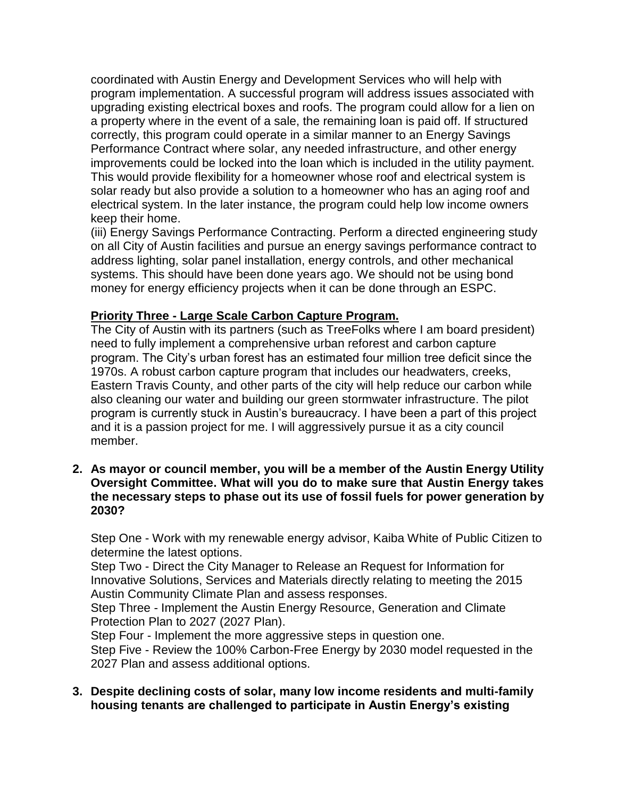coordinated with Austin Energy and Development Services who will help with program implementation. A successful program will address issues associated with upgrading existing electrical boxes and roofs. The program could allow for a lien on a property where in the event of a sale, the remaining loan is paid off. If structured correctly, this program could operate in a similar manner to an Energy Savings Performance Contract where solar, any needed infrastructure, and other energy improvements could be locked into the loan which is included in the utility payment. This would provide flexibility for a homeowner whose roof and electrical system is solar ready but also provide a solution to a homeowner who has an aging roof and electrical system. In the later instance, the program could help low income owners keep their home.

(iii) Energy Savings Performance Contracting. Perform a directed engineering study on all City of Austin facilities and pursue an energy savings performance contract to address lighting, solar panel installation, energy controls, and other mechanical systems. This should have been done years ago. We should not be using bond money for energy efficiency projects when it can be done through an ESPC.

#### **Priority Three - Large Scale Carbon Capture Program.**

The City of Austin with its partners (such as TreeFolks where I am board president) need to fully implement a comprehensive urban reforest and carbon capture program. The City's urban forest has an estimated four million tree deficit since the 1970s. A robust carbon capture program that includes our headwaters, creeks, Eastern Travis County, and other parts of the city will help reduce our carbon while also cleaning our water and building our green stormwater infrastructure. The pilot program is currently stuck in Austin's bureaucracy. I have been a part of this project and it is a passion project for me. I will aggressively pursue it as a city council member.

**2. As mayor or council member, you will be a member of the Austin Energy Utility Oversight Committee. What will you do to make sure that Austin Energy takes the necessary steps to phase out its use of fossil fuels for power generation by 2030?**

Step One - Work with my renewable energy advisor, Kaiba White of Public Citizen to determine the latest options.

Step Two - Direct the City Manager to Release an Request for Information for Innovative Solutions, Services and Materials directly relating to meeting the 2015 Austin Community Climate Plan and assess responses.

Step Three - Implement the Austin Energy Resource, Generation and Climate Protection Plan to 2027 (2027 Plan).

Step Four - Implement the more aggressive steps in question one. Step Five - Review the 100% Carbon-Free Energy by 2030 model requested in the 2027 Plan and assess additional options.

**3. Despite declining costs of solar, many low income residents and multi-family housing tenants are challenged to participate in Austin Energy's existing**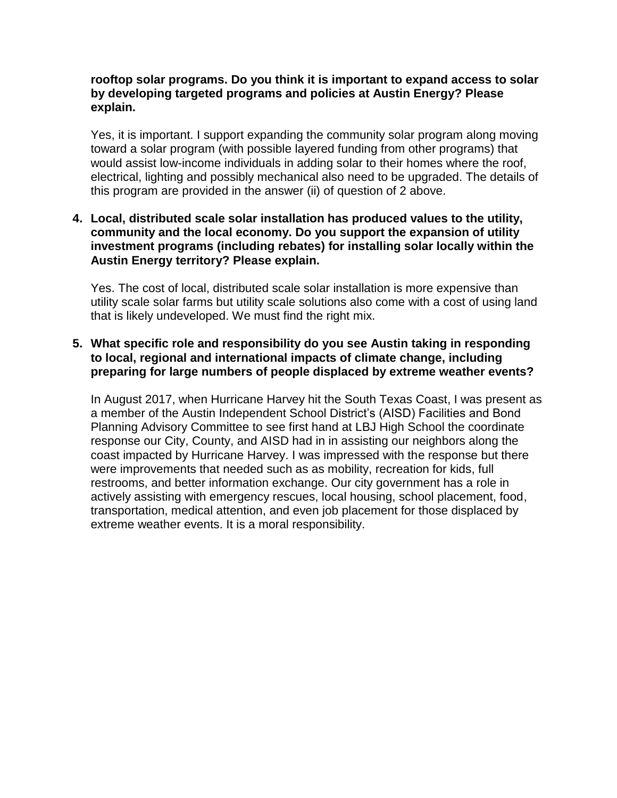#### **rooftop solar programs. Do you think it is important to expand access to solar by developing targeted programs and policies at Austin Energy? Please explain.**

Yes, it is important. I support expanding the community solar program along moving toward a solar program (with possible layered funding from other programs) that would assist low-income individuals in adding solar to their homes where the roof, electrical, lighting and possibly mechanical also need to be upgraded. The details of this program are provided in the answer (ii) of question of 2 above.

#### **4. Local, distributed scale solar installation has produced values to the utility, community and the local economy. Do you support the expansion of utility investment programs (including rebates) for installing solar locally within the Austin Energy territory? Please explain.**

Yes. The cost of local, distributed scale solar installation is more expensive than utility scale solar farms but utility scale solutions also come with a cost of using land that is likely undeveloped. We must find the right mix.

#### **5. What specific role and responsibility do you see Austin taking in responding to local, regional and international impacts of climate change, including preparing for large numbers of people displaced by extreme weather events?**

In August 2017, when Hurricane Harvey hit the South Texas Coast, I was present as a member of the Austin Independent School District's (AISD) Facilities and Bond Planning Advisory Committee to see first hand at LBJ High School the coordinate response our City, County, and AISD had in in assisting our neighbors along the coast impacted by Hurricane Harvey. I was impressed with the response but there were improvements that needed such as as mobility, recreation for kids, full restrooms, and better information exchange. Our city government has a role in actively assisting with emergency rescues, local housing, school placement, food, transportation, medical attention, and even job placement for those displaced by extreme weather events. It is a moral responsibility.